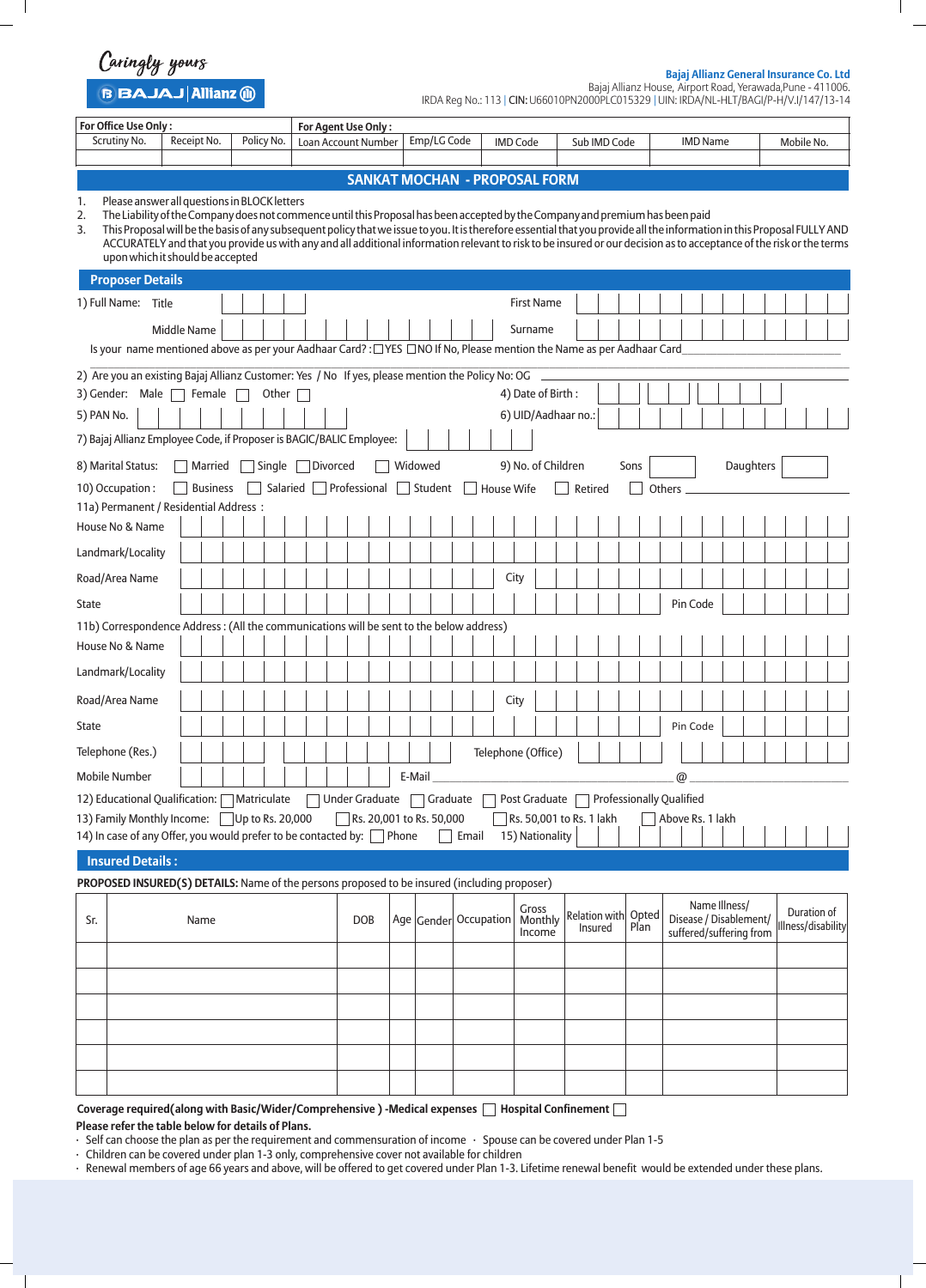Caringly yours

B BAJAJ Allianz (ii)

 $\overline{\phantom{a}}$ 

**Bajaj Allianz General Insurance Co. Ltd**

 $\overline{\phantom{a}}$ 

Bajaj Allianz House, Airport Road, Yerawada,Pune - 411006. IRDA Reg No.: 113 | CIN: U66010PN2000PLC015329 UIN: IRDA/NL-HLT/BAGI/P-H/V.I/147/13-14 |

| For Office Use Only:                                                                                                                                                                                                                                                                                                                                                                                                                                                                                                                                                                   |                                                                      |                     | For Agent Use Only:                  |  |                       |       |                    |                 |                   |                          |               |                                 |               |                 |                  |                                         |  |  |                    |             |  |
|----------------------------------------------------------------------------------------------------------------------------------------------------------------------------------------------------------------------------------------------------------------------------------------------------------------------------------------------------------------------------------------------------------------------------------------------------------------------------------------------------------------------------------------------------------------------------------------|----------------------------------------------------------------------|---------------------|--------------------------------------|--|-----------------------|-------|--------------------|-----------------|-------------------|--------------------------|---------------|---------------------------------|---------------|-----------------|------------------|-----------------------------------------|--|--|--------------------|-------------|--|
| Scrutiny No.<br>Receipt No.                                                                                                                                                                                                                                                                                                                                                                                                                                                                                                                                                            | Policy No.                                                           |                     | Loan Account Number                  |  | Emp/LG Code           |       |                    | <b>IMD Code</b> |                   |                          |               | Sub IMD Code                    |               |                 | <b>IMD Name</b>  |                                         |  |  | Mobile No.         |             |  |
|                                                                                                                                                                                                                                                                                                                                                                                                                                                                                                                                                                                        |                                                                      |                     |                                      |  |                       |       |                    |                 |                   |                          |               |                                 |               |                 |                  |                                         |  |  |                    |             |  |
|                                                                                                                                                                                                                                                                                                                                                                                                                                                                                                                                                                                        |                                                                      |                     | <b>SANKAT MOCHAN - PROPOSAL FORM</b> |  |                       |       |                    |                 |                   |                          |               |                                 |               |                 |                  |                                         |  |  |                    |             |  |
| Please answer all questions in BLOCK letters<br>1.<br>The Liability of the Company does not commence until this Proposal has been accepted by the Company and premium has been paid<br>2.<br>This Proposal will be the basis of any subsequent policy that we issue to you. It is therefore essential that you provide all the information in this Proposal FULLY AND<br>3.<br>ACCURATELY and that you provide us with any and all additional information relevant to risk to be insured or our decision as to acceptance of the risk or the terms<br>upon which it should be accepted |                                                                      |                     |                                      |  |                       |       |                    |                 |                   |                          |               |                                 |               |                 |                  |                                         |  |  |                    |             |  |
| <b>Proposer Details</b>                                                                                                                                                                                                                                                                                                                                                                                                                                                                                                                                                                |                                                                      |                     |                                      |  |                       |       |                    |                 |                   |                          |               |                                 |               |                 |                  |                                         |  |  |                    |             |  |
| 1) Full Name: Title                                                                                                                                                                                                                                                                                                                                                                                                                                                                                                                                                                    |                                                                      |                     |                                      |  |                       |       |                    |                 | <b>First Name</b> |                          |               |                                 |               |                 |                  |                                         |  |  |                    |             |  |
| <b>Middle Name</b>                                                                                                                                                                                                                                                                                                                                                                                                                                                                                                                                                                     |                                                                      |                     |                                      |  |                       |       |                    | Surname         |                   |                          |               |                                 |               |                 |                  |                                         |  |  |                    |             |  |
| Is your name mentioned above as per your Aadhaar Card?: [765] NO If No, Please mention the Name as per Aadhaar Card                                                                                                                                                                                                                                                                                                                                                                                                                                                                    |                                                                      |                     |                                      |  |                       |       |                    |                 |                   |                          |               |                                 |               |                 |                  |                                         |  |  |                    |             |  |
| 2) Are you an existing Bajaj Allianz Customer: Yes / No If yes, please mention the Policy No: OG                                                                                                                                                                                                                                                                                                                                                                                                                                                                                       |                                                                      |                     |                                      |  |                       |       |                    |                 |                   |                          |               |                                 |               |                 |                  |                                         |  |  |                    |             |  |
| 3) Gender: Male<br>Female                                                                                                                                                                                                                                                                                                                                                                                                                                                                                                                                                              |                                                                      |                     |                                      |  |                       |       | 4) Date of Birth:  |                 |                   |                          |               |                                 |               |                 |                  |                                         |  |  |                    |             |  |
| 5) PAN No.                                                                                                                                                                                                                                                                                                                                                                                                                                                                                                                                                                             |                                                                      | 6) UID/Aadhaar no.: |                                      |  |                       |       |                    |                 |                   |                          |               |                                 |               |                 |                  |                                         |  |  |                    |             |  |
|                                                                                                                                                                                                                                                                                                                                                                                                                                                                                                                                                                                        | 7) Bajaj Allianz Employee Code, if Proposer is BAGIC/BALIC Employee: |                     |                                      |  |                       |       |                    |                 |                   |                          |               |                                 |               |                 |                  |                                         |  |  |                    |             |  |
| 8) Marital Status:<br>Divorced<br>Widowed<br>9) No. of Children<br>Daughters<br>Married<br>Single<br>Sons                                                                                                                                                                                                                                                                                                                                                                                                                                                                              |                                                                      |                     |                                      |  |                       |       |                    |                 |                   |                          |               |                                 |               |                 |                  |                                         |  |  |                    |             |  |
| 10) Occupation:<br><b>Business</b>                                                                                                                                                                                                                                                                                                                                                                                                                                                                                                                                                     |                                                                      |                     | Salaried □ Professional              |  | Student               |       | <b>House Wife</b>  |                 |                   |                          | Retired       |                                 |               | Others          |                  |                                         |  |  |                    |             |  |
| 11a) Permanent / Residential Address:                                                                                                                                                                                                                                                                                                                                                                                                                                                                                                                                                  |                                                                      |                     |                                      |  |                       |       |                    |                 |                   |                          |               |                                 |               |                 |                  |                                         |  |  |                    |             |  |
| House No & Name                                                                                                                                                                                                                                                                                                                                                                                                                                                                                                                                                                        |                                                                      |                     |                                      |  |                       |       |                    |                 |                   |                          |               |                                 |               |                 |                  |                                         |  |  |                    |             |  |
| Landmark/Locality                                                                                                                                                                                                                                                                                                                                                                                                                                                                                                                                                                      |                                                                      |                     |                                      |  |                       |       |                    |                 |                   |                          |               |                                 |               |                 |                  |                                         |  |  |                    |             |  |
| Road/Area Name                                                                                                                                                                                                                                                                                                                                                                                                                                                                                                                                                                         |                                                                      |                     |                                      |  |                       |       |                    | City            |                   |                          |               |                                 |               |                 |                  |                                         |  |  |                    |             |  |
| State                                                                                                                                                                                                                                                                                                                                                                                                                                                                                                                                                                                  |                                                                      |                     |                                      |  |                       |       |                    |                 |                   |                          |               |                                 |               |                 | Pin Code         |                                         |  |  |                    |             |  |
| 11b) Correspondence Address: (All the communications will be sent to the below address)                                                                                                                                                                                                                                                                                                                                                                                                                                                                                                |                                                                      |                     |                                      |  |                       |       |                    |                 |                   |                          |               |                                 |               |                 |                  |                                         |  |  |                    |             |  |
| House No & Name                                                                                                                                                                                                                                                                                                                                                                                                                                                                                                                                                                        |                                                                      |                     |                                      |  |                       |       |                    |                 |                   |                          |               |                                 |               |                 |                  |                                         |  |  |                    |             |  |
| Landmark/Locality                                                                                                                                                                                                                                                                                                                                                                                                                                                                                                                                                                      |                                                                      |                     |                                      |  |                       |       |                    |                 |                   |                          |               |                                 |               |                 |                  |                                         |  |  |                    |             |  |
| Road/Area Name                                                                                                                                                                                                                                                                                                                                                                                                                                                                                                                                                                         |                                                                      |                     |                                      |  |                       |       |                    | City            |                   |                          |               |                                 |               |                 |                  |                                         |  |  |                    |             |  |
| State                                                                                                                                                                                                                                                                                                                                                                                                                                                                                                                                                                                  |                                                                      |                     |                                      |  |                       |       |                    |                 |                   |                          |               |                                 |               |                 | Pin Code         |                                         |  |  |                    |             |  |
| Telephone (Res.)                                                                                                                                                                                                                                                                                                                                                                                                                                                                                                                                                                       |                                                                      |                     |                                      |  |                       |       | Telephone (Office) |                 |                   |                          |               |                                 |               |                 |                  |                                         |  |  |                    |             |  |
| <b>Mobile Number</b>                                                                                                                                                                                                                                                                                                                                                                                                                                                                                                                                                                   | $\blacksquare$                                                       | $\sim$ 1.1<br>- 11  | $\blacksquare$                       |  | E-Mail                |       |                    |                 |                   |                          |               |                                 |               | $^{\copyright}$ |                  |                                         |  |  |                    |             |  |
| 12) Educational Qualification: Matriculate                                                                                                                                                                                                                                                                                                                                                                                                                                                                                                                                             |                                                                      |                     | Under Graduate □ Graduate            |  |                       |       |                    |                 |                   | Post Graduate            |               | <b>Professionally Qualified</b> |               |                 |                  |                                         |  |  |                    |             |  |
| 13) Family Monthly Income: Up to Rs. 20,000                                                                                                                                                                                                                                                                                                                                                                                                                                                                                                                                            |                                                                      |                     | Rs. 20,001 to Rs. 50,000             |  |                       |       |                    |                 |                   | Rs. 50,001 to Rs. 1 lakh |               |                                 |               |                 | Above Rs. 1 lakh |                                         |  |  |                    |             |  |
| 14) In case of any Offer, you would prefer to be contacted by: nehone                                                                                                                                                                                                                                                                                                                                                                                                                                                                                                                  |                                                                      |                     |                                      |  |                       | Email |                    |                 | 15) Nationality   |                          |               |                                 |               |                 |                  |                                         |  |  |                    |             |  |
| <b>Insured Details:</b>                                                                                                                                                                                                                                                                                                                                                                                                                                                                                                                                                                |                                                                      |                     |                                      |  |                       |       |                    |                 |                   |                          |               |                                 |               |                 |                  |                                         |  |  |                    |             |  |
| PROPOSED INSURED(S) DETAILS: Name of the persons proposed to be insured (including proposer)                                                                                                                                                                                                                                                                                                                                                                                                                                                                                           |                                                                      |                     |                                      |  |                       |       |                    |                 |                   |                          |               |                                 |               |                 |                  |                                         |  |  |                    |             |  |
| Name<br>Sr.                                                                                                                                                                                                                                                                                                                                                                                                                                                                                                                                                                            |                                                                      |                     | <b>DOB</b>                           |  | Age Gender Occupation |       |                    | Gross           | Monthly           |                          | Relation with |                                 | Opted<br>Plan |                 |                  | Name Illness/<br>Disease / Disablement/ |  |  | Illness/disability | Duration of |  |
|                                                                                                                                                                                                                                                                                                                                                                                                                                                                                                                                                                                        |                                                                      |                     |                                      |  |                       |       |                    |                 | Income            |                          | Insured       |                                 |               |                 |                  | suffered/suffering from                 |  |  |                    |             |  |
|                                                                                                                                                                                                                                                                                                                                                                                                                                                                                                                                                                                        |                                                                      |                     |                                      |  |                       |       |                    |                 |                   |                          |               |                                 |               |                 |                  |                                         |  |  |                    |             |  |
|                                                                                                                                                                                                                                                                                                                                                                                                                                                                                                                                                                                        |                                                                      |                     |                                      |  |                       |       |                    |                 |                   |                          |               |                                 |               |                 |                  |                                         |  |  |                    |             |  |
|                                                                                                                                                                                                                                                                                                                                                                                                                                                                                                                                                                                        |                                                                      |                     |                                      |  |                       |       |                    |                 |                   |                          |               |                                 |               |                 |                  |                                         |  |  |                    |             |  |
|                                                                                                                                                                                                                                                                                                                                                                                                                                                                                                                                                                                        |                                                                      |                     |                                      |  |                       |       |                    |                 |                   |                          |               |                                 |               |                 |                  |                                         |  |  |                    |             |  |
|                                                                                                                                                                                                                                                                                                                                                                                                                                                                                                                                                                                        |                                                                      |                     |                                      |  |                       |       |                    |                 |                   |                          |               |                                 |               |                 |                  |                                         |  |  |                    |             |  |

Coverage required(along with Basic/Wider/Comprehensive) -Medical expenses  $\Box$  Hospital Confinement  $\Box$ 

**Please refer the table below for details of Plans.**

 $\,\cdot\,$  Self can choose the plan as per the requirement and commensuration of income  $\,\cdot\,$  Spouse can be covered under Plan 1-5

· Children can be covered under plan 1-3 only, comprehensive cover not available for children

· Renewal members of age 66 years and above, will be offered to get covered under Plan 1-3. Lifetime renewal benefit would be extended under these plans.